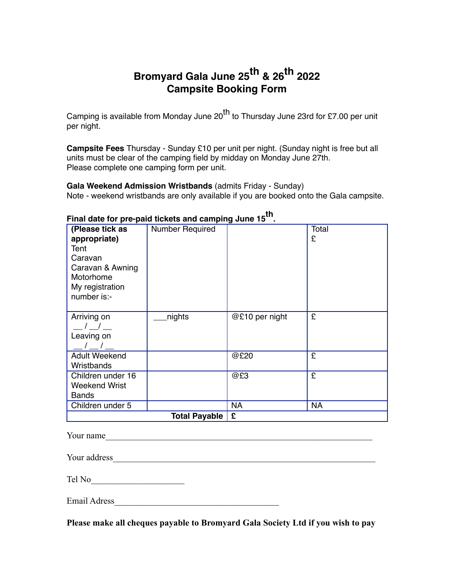## **Bromyard Gala June 25th & 26th 2022 Campsite Booking Form**

Camping is available from Monday June 20<sup>th</sup> to Thursday June 23rd for £7.00 per unit per night.

**Campsite Fees** Thursday - Sunday £10 per unit per night. (Sunday night is free but all units must be clear of the camping field by midday on Monday June 27th. Please complete one camping form per unit.

### **Gala Weekend Admission Wristbands** (admits Friday - Sunday)

Note - weekend wristbands are only available if you are booked onto the Gala campsite.

| (Please tick as<br>appropriate)<br>Tent<br>Caravan<br>Caravan & Awning<br>Motorhome<br>My registration<br>number is:- | <b>Number Required</b> |                | Total<br>£ |
|-----------------------------------------------------------------------------------------------------------------------|------------------------|----------------|------------|
| Arriving on<br>Leaving on                                                                                             | nights                 | @£10 per night | £          |
| <b>Adult Weekend</b><br>Wristbands                                                                                    |                        | @£20           | £          |
| Children under 16<br><b>Weekend Wrist</b><br><b>Bands</b>                                                             |                        | @£3            | £          |
| Children under 5                                                                                                      |                        | <b>NA</b>      | <b>NA</b>  |
|                                                                                                                       | <b>Total Payable</b>   | £              |            |

## **Final date for pre-paid tickets and camping June 15th.**

Your name\_\_\_\_\_\_\_\_\_\_\_\_\_\_\_\_\_\_\_\_\_\_\_\_\_\_\_\_\_\_\_\_\_\_\_\_\_\_\_\_\_\_\_\_\_\_\_\_\_\_\_\_\_\_\_\_\_\_\_\_

Your address example and the set of the set of the set of the set of the set of the set of the set of the set of the set of the set of the set of the set of the set of the set of the set of the set of the set of the set of

| Tel No |  |  |
|--------|--|--|
|        |  |  |

Email Adress

**Please make all cheques payable to Bromyard Gala Society Ltd if you wish to pay**